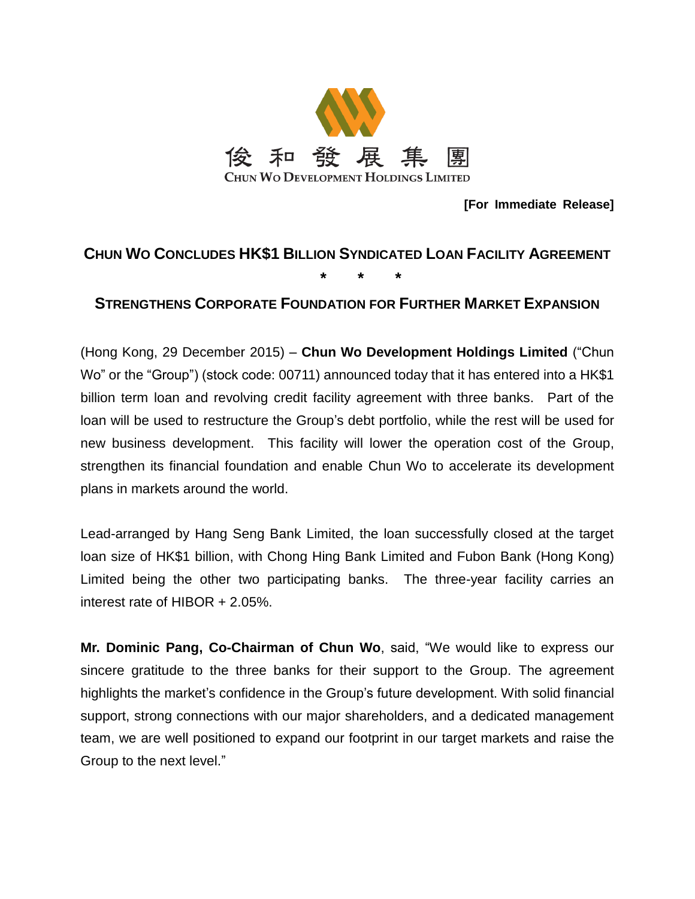

**[For Immediate Release]**

# **CHUN WO CONCLUDES HK\$1 BILLION SYNDICATED LOAN FACILITY AGREEMENT**

**\* \* \***

## **STRENGTHENS CORPORATE FOUNDATION FOR FURTHER MARKET EXPANSION**

(Hong Kong, 29 December 2015) – **Chun Wo Development Holdings Limited** ("Chun Wo" or the "Group") (stock code: 00711) announced today that it has entered into a HK\$1 billion term loan and revolving credit facility agreement with three banks. Part of the loan will be used to restructure the Group's debt portfolio, while the rest will be used for new business development. This facility will lower the operation cost of the Group, strengthen its financial foundation and enable Chun Wo to accelerate its development plans in markets around the world.

Lead-arranged by Hang Seng Bank Limited, the loan successfully closed at the target loan size of HK\$1 billion, with Chong Hing Bank Limited and Fubon Bank (Hong Kong) Limited being the other two participating banks. The three-year facility carries an interest rate of HIBOR + 2.05%.

**Mr. Dominic Pang, Co-Chairman of Chun Wo**, said, "We would like to express our sincere gratitude to the three banks for their support to the Group. The agreement highlights the market's confidence in the Group's future development. With solid financial support, strong connections with our major shareholders, and a dedicated management team, we are well positioned to expand our footprint in our target markets and raise the Group to the next level."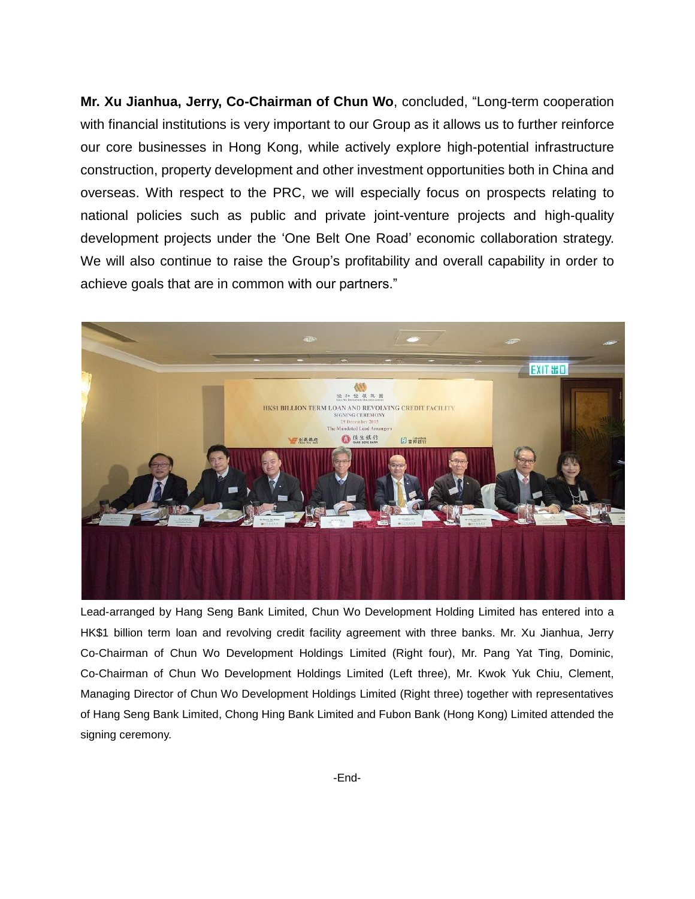**Mr. Xu Jianhua, Jerry, Co-Chairman of Chun Wo**, concluded, "Long-term cooperation with financial institutions is very important to our Group as it allows us to further reinforce our core businesses in Hong Kong, while actively explore high-potential infrastructure construction, property development and other investment opportunities both in China and overseas. With respect to the PRC, we will especially focus on prospects relating to national policies such as public and private joint-venture projects and high-quality development projects under the 'One Belt One Road' economic collaboration strategy. We will also continue to raise the Group's profitability and overall capability in order to achieve goals that are in common with our partners."



Lead-arranged by Hang Seng Bank Limited, Chun Wo Development Holding Limited has entered into a HK\$1 billion term loan and revolving credit facility agreement with three banks. Mr. Xu Jianhua, Jerry Co-Chairman of Chun Wo Development Holdings Limited (Right four), Mr. Pang Yat Ting, Dominic, Co-Chairman of Chun Wo Development Holdings Limited (Left three), Mr. Kwok Yuk Chiu, Clement, Managing Director of Chun Wo Development Holdings Limited (Right three) together with representatives of Hang Seng Bank Limited, Chong Hing Bank Limited and Fubon Bank (Hong Kong) Limited attended the signing ceremony.